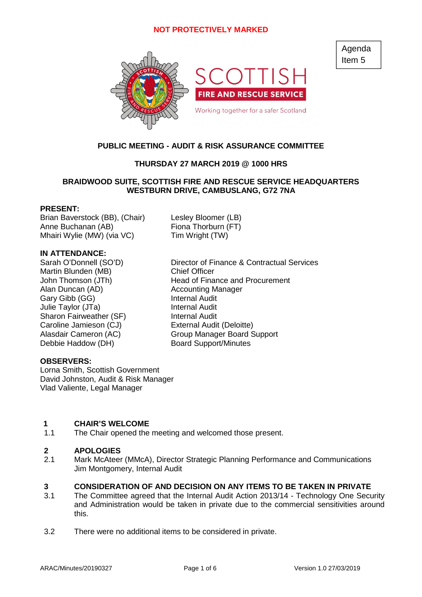

# **PUBLIC MEETING - AUDIT & RISK ASSURANCE COMMITTEE**

# **THURSDAY 27 MARCH 2019 @ 1000 HRS**

### **BRAIDWOOD SUITE, SCOTTISH FIRE AND RESCUE SERVICE HEADQUARTERS WESTBURN DRIVE, CAMBUSLANG, G72 7NA**

### **PRESENT:**

Brian Baverstock (BB), (Chair) Lesley Bloomer (LB) Anne Buchanan (AB) Fiona Thorburn (FT) Mhairi Wylie (MW) (via VC) Tim Wright (TW)

# **IN ATTENDANCE:**

Sarah O'Donnell (SO'D) Director of Finance & Contractual Services Martin Blunden (MB) Chief Officer John Thomson (JTh) Head of Finance and Procurement Alan Duncan (AD) Accounting Manager Gary Gibb (GG) **Internal Audit**<br>
Julie Tavlor (JTa) **Internal Audit** Julie Taylor (JTa) Sharon Fairweather (SF) Internal Audit Caroline Jamieson (CJ) External Audit (Deloitte) Alasdair Cameron (AC) Group Manager Board Support Debbie Haddow (DH) Board Support/Minutes

### **OBSERVERS:**

Lorna Smith, Scottish Government David Johnston, Audit & Risk Manager Vlad Valiente, Legal Manager

### **1 CHAIR'S WELCOME**

1.1 The Chair opened the meeting and welcomed those present.

### **2 APOLOGIES**

2.1 Mark McAteer (MMcA), Director Strategic Planning Performance and Communications Jim Montgomery, Internal Audit

### **3 CONSIDERATION OF AND DECISION ON ANY ITEMS TO BE TAKEN IN PRIVATE**

- 3.1 The Committee agreed that the Internal Audit Action 2013/14 - Technology One Security and Administration would be taken in private due to the commercial sensitivities around this.
- 3.2 There were no additional items to be considered in private.

Agenda Item 5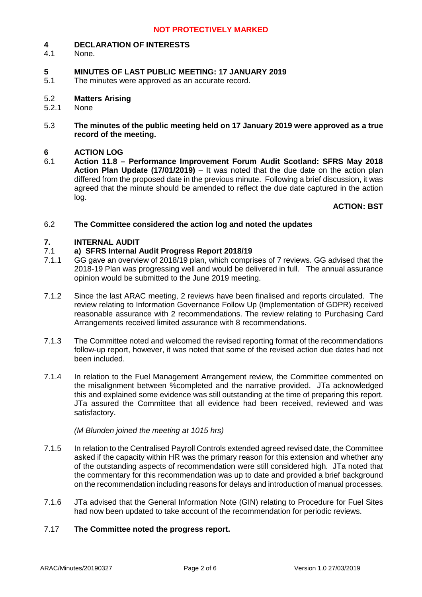#### **4 DECLARATION OF INTERESTS**

4.1 None.

### **5 MINUTES OF LAST PUBLIC MEETING: 17 JANUARY 2019**

5.1 The minutes were approved as an accurate record.

#### 5.2 **Matters Arising**

- 5.2.1 None
- 5.3 **The minutes of the public meeting held on 17 January 2019 were approved as a true record of the meeting.**

#### **6 ACTION LOG**

6.1 **Action 11.8 – Performance Improvement Forum Audit Scotland: SFRS May 2018 Action Plan Update (17/01/2019)** – It was noted that the due date on the action plan differed from the proposed date in the previous minute. Following a brief discussion, it was agreed that the minute should be amended to reflect the due date captured in the action log.

# **ACTION: BST**

#### 6.2 **The Committee considered the action log and noted the updates**

#### **7. INTERNAL AUDIT**

#### 7.1 **a) SFRS Internal Audit Progress Report 2018/19**

- 7.1.1 GG gave an overview of 2018/19 plan, which comprises of 7 reviews. GG advised that the 2018-19 Plan was progressing well and would be delivered in full. The annual assurance opinion would be submitted to the June 2019 meeting.
- 7.1.2 Since the last ARAC meeting, 2 reviews have been finalised and reports circulated. The review relating to Information Governance Follow Up (Implementation of GDPR) received reasonable assurance with 2 recommendations. The review relating to Purchasing Card Arrangements received limited assurance with 8 recommendations.
- 7.1.3 The Committee noted and welcomed the revised reporting format of the recommendations follow-up report, however, it was noted that some of the revised action due dates had not been included.
- 7.1.4 In relation to the Fuel Management Arrangement review, the Committee commented on the misalignment between %completed and the narrative provided. JTa acknowledged this and explained some evidence was still outstanding at the time of preparing this report. JTa assured the Committee that all evidence had been received, reviewed and was satisfactory.

### *(M Blunden joined the meeting at 1015 hrs)*

- 7.1.5 In relation to the Centralised Payroll Controls extended agreed revised date, the Committee asked if the capacity within HR was the primary reason for this extension and whether any of the outstanding aspects of recommendation were still considered high. JTa noted that the commentary for this recommendation was up to date and provided a brief background on the recommendation including reasons for delays and introduction of manual processes.
- 7.1.6 JTa advised that the General Information Note (GIN) relating to Procedure for Fuel Sites had now been updated to take account of the recommendation for periodic reviews.

#### 7.17 **The Committee noted the progress report.**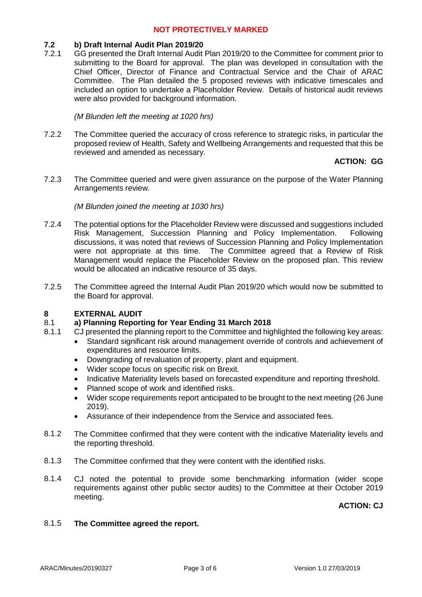#### **7.2 b) Draft Internal Audit Plan 2019/20**

7.2.1 GG presented the Draft Internal Audit Plan 2019/20 to the Committee for comment prior to submitting to the Board for approval. The plan was developed in consultation with the Chief Officer, Director of Finance and Contractual Service and the Chair of ARAC Committee. The Plan detailed the 5 proposed reviews with indicative timescales and included an option to undertake a Placeholder Review. Details of historical audit reviews were also provided for background information.

*(M Blunden left the meeting at 1020 hrs)*

7.2.2 The Committee queried the accuracy of cross reference to strategic risks, in particular the proposed review of Health, Safety and Wellbeing Arrangements and requested that this be reviewed and amended as necessary.

# **ACTION: GG**

7.2.3 The Committee queried and were given assurance on the purpose of the Water Planning Arrangements review.

### *(M Blunden joined the meeting at 1030 hrs)*

- 7.2.4 The potential options for the Placeholder Review were discussed and suggestions included Risk Management, Succession Planning and Policy Implementation. Following discussions, it was noted that reviews of Succession Planning and Policy Implementation were not appropriate at this time. The Committee agreed that a Review of Risk Management would replace the Placeholder Review on the proposed plan. This review would be allocated an indicative resource of 35 days.
- 7.2.5 The Committee agreed the Internal Audit Plan 2019/20 which would now be submitted to the Board for approval.

#### **8 EXTERNAL AUDIT**

#### 8.1 **a) Planning Reporting for Year Ending 31 March 2018**

- 8.1.1 CJ presented the planning report to the Committee and highlighted the following key areas:
	- Standard significant risk around management override of controls and achievement of expenditures and resource limits.
	- Downgrading of revaluation of property, plant and equipment.
	- Wider scope focus on specific risk on Brexit.
	- Indicative Materiality levels based on forecasted expenditure and reporting threshold.
	- Planned scope of work and identified risks.
	- Wider scope requirements report anticipated to be brought to the next meeting (26 June 2019).
	- Assurance of their independence from the Service and associated fees.
- 8.1.2 The Committee confirmed that they were content with the indicative Materiality levels and the reporting threshold.
- 8.1.3 The Committee confirmed that they were content with the identified risks.
- 8.1.4 CJ noted the potential to provide some benchmarking information (wider scope requirements against other public sector audits) to the Committee at their October 2019 meeting.

# **ACTION: CJ**

#### 8.1.5 **The Committee agreed the report.**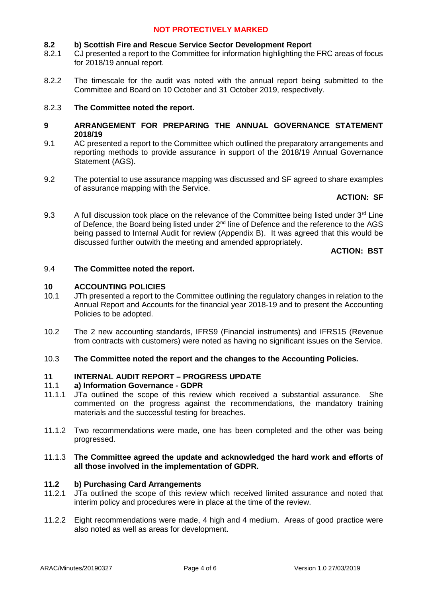#### **8.2 b) Scottish Fire and Rescue Service Sector Development Report**

- 8.2.1 CJ presented a report to the Committee for information highlighting the FRC areas of focus for 2018/19 annual report.
- 8.2.2 The timescale for the audit was noted with the annual report being submitted to the Committee and Board on 10 October and 31 October 2019, respectively.

#### 8.2.3 **The Committee noted the report.**

- **9 ARRANGEMENT FOR PREPARING THE ANNUAL GOVERNANCE STATEMENT 2018/19**
- 9.1 AC presented a report to the Committee which outlined the preparatory arrangements and reporting methods to provide assurance in support of the 2018/19 Annual Governance Statement (AGS).
- 9.2 The potential to use assurance mapping was discussed and SF agreed to share examples of assurance mapping with the Service.

### **ACTION: SF**

9.3 A full discussion took place on the relevance of the Committee being listed under  $3<sup>rd</sup>$  Line of Defence, the Board being listed under 2<sup>nd</sup> line of Defence and the reference to the AGS being passed to Internal Audit for review (Appendix B). It was agreed that this would be discussed further outwith the meeting and amended appropriately.

### **ACTION: BST**

#### 9.4 **The Committee noted the report.**

#### **10 ACCOUNTING POLICIES**

- 10.1 JTh presented a report to the Committee outlining the regulatory changes in relation to the Annual Report and Accounts for the financial year 2018-19 and to present the Accounting Policies to be adopted.
- 10.2 The 2 new accounting standards, IFRS9 (Financial instruments) and IFRS15 (Revenue from contracts with customers) were noted as having no significant issues on the Service.
- 10.3 **The Committee noted the report and the changes to the Accounting Policies.**

#### **11 INTERNAL AUDIT REPORT – PROGRESS UPDATE**

#### 11.1 **a) Information Governance - GDPR**

- 11.1.1 JTa outlined the scope of this review which received a substantial assurance. She commented on the progress against the recommendations, the mandatory training materials and the successful testing for breaches.
- 11.1.2 Two recommendations were made, one has been completed and the other was being progressed.

### 11.1.3 **The Committee agreed the update and acknowledged the hard work and efforts of all those involved in the implementation of GDPR.**

#### **11.2 b) Purchasing Card Arrangements**

- 11.2.1 JTa outlined the scope of this review which received limited assurance and noted that interim policy and procedures were in place at the time of the review.
- 11.2.2 Eight recommendations were made, 4 high and 4 medium. Areas of good practice were also noted as well as areas for development.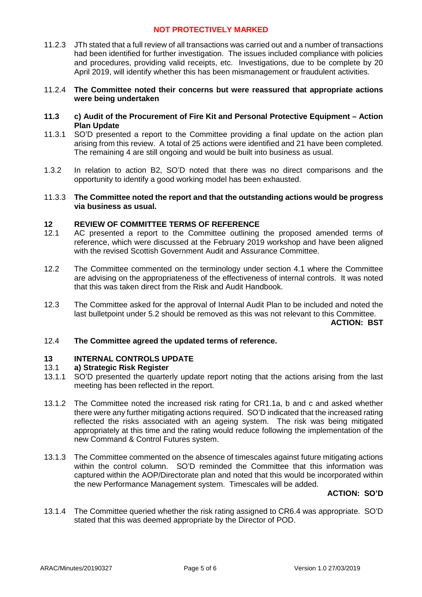11.2.3 JTh stated that a full review of all transactions was carried out and a number of transactions had been identified for further investigation. The issues included compliance with policies and procedures, providing valid receipts, etc. Investigations, due to be complete by 20 April 2019, will identify whether this has been mismanagement or fraudulent activities.

### 11.2.4 **The Committee noted their concerns but were reassured that appropriate actions were being undertaken**

- **11.3 c) Audit of the Procurement of Fire Kit and Personal Protective Equipment – Action Plan Update**
- 11.3.1 SO'D presented a report to the Committee providing a final update on the action plan arising from this review. A total of 25 actions were identified and 21 have been completed. The remaining 4 are still ongoing and would be built into business as usual.
- 1.3.2 In relation to action B2, SO'D noted that there was no direct comparisons and the opportunity to identify a good working model has been exhausted.

#### 11.3.3 **The Committee noted the report and that the outstanding actions would be progress via business as usual.**

#### **12 REVIEW OF COMMITTEE TERMS OF REFERENCE**

- 12.1 AC presented a report to the Committee outlining the proposed amended terms of reference, which were discussed at the February 2019 workshop and have been aligned with the revised Scottish Government Audit and Assurance Committee.
- 12.2 The Committee commented on the terminology under section 4.1 where the Committee are advising on the appropriateness of the effectiveness of internal controls. It was noted that this was taken direct from the Risk and Audit Handbook.
- 12.3 The Committee asked for the approval of Internal Audit Plan to be included and noted the last bulletpoint under 5.2 should be removed as this was not relevant to this Committee.

**ACTION: BST**

#### 12.4 **The Committee agreed the updated terms of reference.**

#### **13 INTERNAL CONTROLS UPDATE**

#### 13.1 **a) Strategic Risk Register**

- 13.1.1 SO'D presented the quarterly update report noting that the actions arising from the last meeting has been reflected in the report.
- 13.1.2 The Committee noted the increased risk rating for CR1.1a, b and c and asked whether there were any further mitigating actions required. SO'D indicated that the increased rating reflected the risks associated with an ageing system. The risk was being mitigated appropriately at this time and the rating would reduce following the implementation of the new Command & Control Futures system.
- 13.1.3 The Committee commented on the absence of timescales against future mitigating actions within the control column. SO'D reminded the Committee that this information was captured within the AOP/Directorate plan and noted that this would be incorporated within the new Performance Management system. Timescales will be added.

### **ACTION: SO'D**

13.1.4 The Committee queried whether the risk rating assigned to CR6.4 was appropriate. SO'D stated that this was deemed appropriate by the Director of POD.